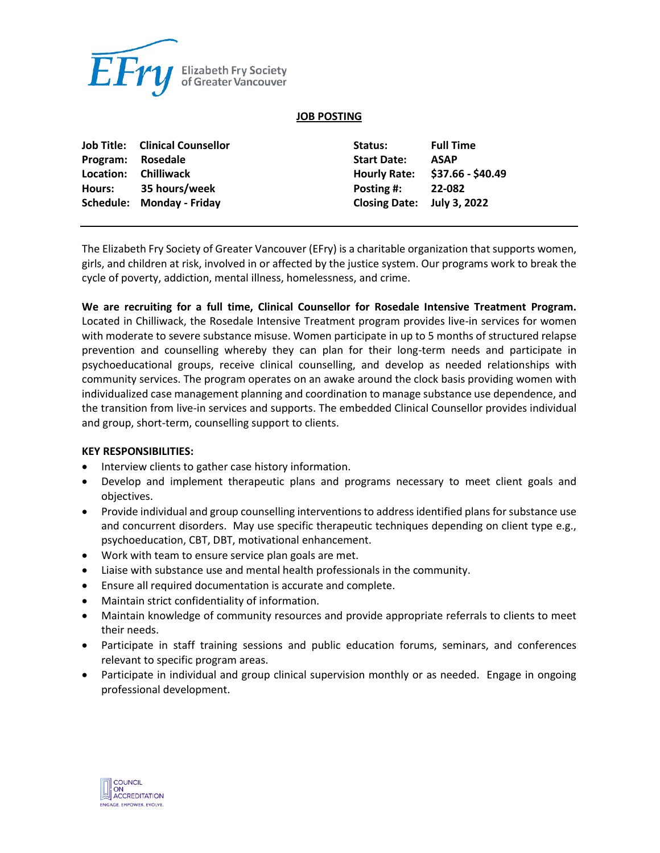

## **JOB POSTING**

|           | <b>Job Title: Clinical Counsellor</b> | Status:                    | <b>Full Time</b>  |
|-----------|---------------------------------------|----------------------------|-------------------|
| Program:  | Rosedale                              | <b>Start Date:</b>         | <b>ASAP</b>       |
| Location: | <b>Chilliwack</b>                     | <b>Hourly Rate:</b>        | \$37.66 - \$40.49 |
| Hours:    | 35 hours/week                         | Posting #:                 | 22-082            |
|           | Schedule: Monday - Friday             | Closing Date: July 3, 2022 |                   |

The Elizabeth Fry Society of Greater Vancouver (EFry) is a charitable organization that supports women, girls, and children at risk, involved in or affected by the justice system. Our programs work to break the cycle of poverty, addiction, mental illness, homelessness, and crime.

**We are recruiting for a full time, Clinical Counsellor for Rosedale Intensive Treatment Program.**  Located in Chilliwack, the Rosedale Intensive Treatment program provides live-in services for women with moderate to severe substance misuse. Women participate in up to 5 months of structured relapse prevention and counselling whereby they can plan for their long-term needs and participate in psychoeducational groups, receive clinical counselling, and develop as needed relationships with community services. The program operates on an awake around the clock basis providing women with individualized case management planning and coordination to manage substance use dependence, and the transition from live-in services and supports. The embedded Clinical Counsellor provides individual and group, short-term, counselling support to clients.

## **KEY RESPONSIBILITIES:**

- Interview clients to gather case history information.
- Develop and implement therapeutic plans and programs necessary to meet client goals and objectives.
- Provide individual and group counselling interventions to address identified plans for substance use and concurrent disorders. May use specific therapeutic techniques depending on client type e.g., psychoeducation, CBT, DBT, motivational enhancement.
- Work with team to ensure service plan goals are met.
- Liaise with substance use and mental health professionals in the community.
- Ensure all required documentation is accurate and complete.
- Maintain strict confidentiality of information.
- Maintain knowledge of community resources and provide appropriate referrals to clients to meet their needs.
- Participate in staff training sessions and public education forums, seminars, and conferences relevant to specific program areas.
- Participate in individual and group clinical supervision monthly or as needed. Engage in ongoing professional development.